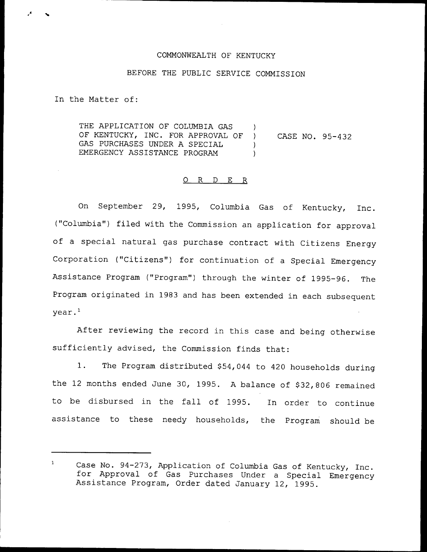## COMMONWEALTH OF KENTUCKY

#### BEFORE THE PUBLIC SERVICE COMMISSION

In the Matter of:

THE APPLICATION OF COLUMBIA GAS OF KENTUCKY, INC. FOR APPROVAL OF ) GAS PURCHASES UNDER A SPECIAL (1) EMERGENCY ASSISTANCE PROGRAM  $)$ CASE NO. 95-432

#### 0 R <sup>D</sup> E R

On September 29, 1995, Columbia Gas of Kentucky, Inc. ("Columbia") filed with the Commission an application for approval of <sup>a</sup> special natural gas purchase contract with Citizens Energy Corporation ("Citizens") for continuation of a Special Emergency Assistance Program ("Program") through the winter of 1995-96. The Program originated in 1983 and has been extended in each subsequent year.

After reviewing the record in this case and being otherwise sufficiently advised, the Commission finds that:

1. The Program distributed \$54,044 to 420 households during the 12 months ended June 30, 1995. A balance of \$32,806 remained to be disbursed in the fall of 1995. In order to continue assistance to these needy households, the Program should be

 $\mathbf{1}$ Case No. 94-273, Application of Columbia Gas of Kentucky, Inc. for Approval of Gas Purchases Under <sup>a</sup> Special Emergency Assistance Program, Order dated January 12, 1995.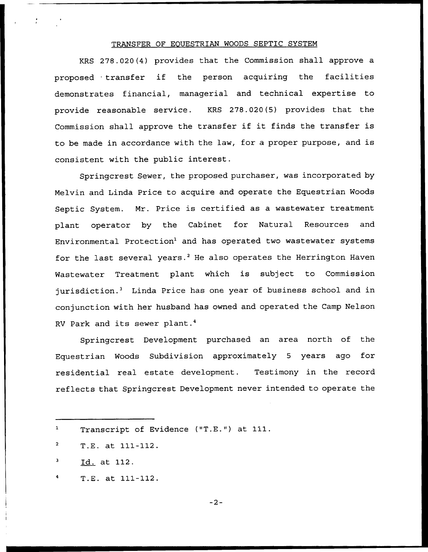# TRANSFER OF EOUESTRIAN WOODS SEPTIC SYSTEM

KRS 278.020(4) provides that the Commission shall approve a proposed transfer if the person acquiring the facilities demonstrates financial, managerial and technical expertise to provide reasonable service. KRS 278.020(5) provides that the Commission shall approve the transfer if it finds the transfer is to be made in accordance with the law, for <sup>a</sup> proper purpose, and is consistent with the public interest.

Springcrest Sewer, the proposed purchaser, was incorporated by Melvin and Linda Price to acquire and operate the Equestrian Woods Septic System. Mr. Price is certified as a wastewater treatment plant operator by the Cabinet for Natural Resources and Environmental Protection<sup>1</sup> and has operated two wastewater systems for the last several years.<sup>2</sup> He also operates the Herrington Haven Wastewater Treatment plant which is subject to Commission jurisdiction.<sup>3</sup> Linda Price has one year of business school and in conjunction with her husband has owned and operated the Camp Nelson RV Park and its sewer plant.<sup>4</sup>

Development purchased an area north of the Equestrian Woods Subdivision approximately <sup>5</sup> years ago for residential real estate development. Testimony in the record reflects that Springcrest Development never intended to operate the

T.E. at 111-112.

 $-2-$ 

Transcript of Evidence ("T.E.") at 111.

T.E. at 111-112.

Id. at 112.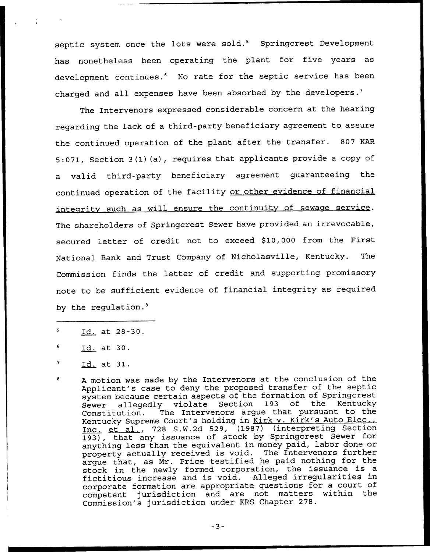septic system once the lots were sold.<sup>5</sup> Springcrest Development has nonetheless been operating the plant for five years as development continues.<sup>6</sup> No rate for the septic service has been charged and all expenses have been absorbed by the developers.<sup>7</sup>

The Intervenors expressed considerable concern at the hearing regarding the lack of a third-party beneficiary agreement to assure the continued operation of the plant after the transfer. 807 KAR 5:071, Section 3(1)(a), requires that applicants provide a copy of a valid third-party beneficiary agreement guaranteeing the continued operation of the facility or other evidence of financial integrity such as will ensure the continuity of sewage service. The shareholders of Springcrest Sewer have provided an irrevocable, secured letter of credit not to exceed \$10,000 from the First National Bank and Trust Company of Nicholasville, Kentucky. The Commission finds the letter of credit and supporting promissory note to be sufficient evidence of financial integrity as required by the regulation. $8$ 

 $\overline{\mathbf{5}}$ Id. at 28-30.

Id. at 30.

Id. at 31.

<sup>A</sup> motion was made by the Intervenors at the conclusion of the Applicant's case to deny the proposed transfer of the septic system because certain aspects of the formation of Springcrest<br>Sewer allegedly violate Section 193 of the Kentucky Sewer allegedly violate Section 193<br>Constitution. The Intervenors argue th The Intervenors argue that pursuant to the Kentucky Supreme Court's holding in Kirk v. Kirk's Auto Elec., Inc. et al., <sup>728</sup> S.W.2d 529, (1987) (interpreting Section 193), that any issuance of stock by Springcrest Sewer for anything less than the equivalent in money paid, labor done or anything ress than the equivariant in money part, that further argue that, as Nr. Price testified. he paid nothing for the stock in the newly formed corporation, the issuance is <sup>a</sup> fictitious increase and is void. Alleged irregularities in corporate formation are appropriate questions for a court of competent jurisdiction and are not matters within the Commission's jurisdiction under KRS Chapter 278.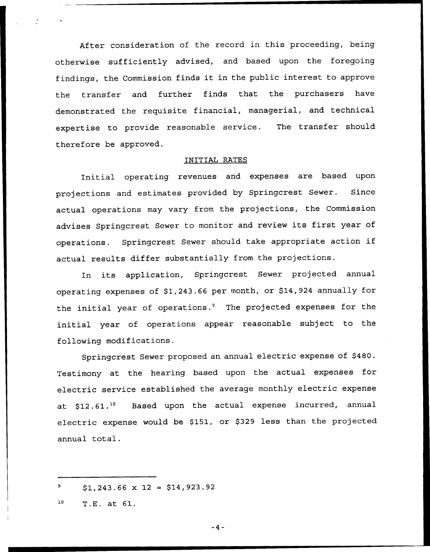After consideration of the record in this proceeding, being otherwise sufficiently advised, and based upon the foregoing findings, the Commission finds it in the public interest to approve the transfer and further finds that the purchasers have demonstrated the requisite financial, managerial, and technical expertise to provide reasonable service. The transfer should therefore be approved.

## INITIAL RATES

Initial operating revenues and expenses are based upon projections and estimates provided by Springcrest Sewer. Since actual operations may vary from the projections, the Commission advises Springcrest Sewer to monitor and review its first year of operations. Springcrest Sewer should take appropriate action if actual results differ substantially from the projections.

In its application, Springcrest Sewer projected annual operating expenses of \$1,243.66 per month, or \$14,924 annually for the initial year of operations.<sup>9</sup> The projected expenses for the initial year of operations appear reasonable subject to the following modifications.

Springcrest Sewer proposed an annual electric expense of \$480. Testimony at the hearing based upon the actual expenses for electric service established the average monthly electric expense at \$12.61.<sup>10</sup> Based upon the actual expense incurred, annual electric expense would be \$151, or \$329 less than the projected annual total.

 $$1,243.66 \times 12 = $14,923.92$ 

 $10$ T.E. at 61.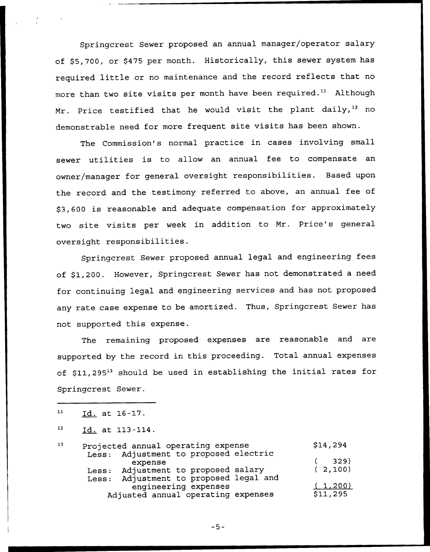Springcrest Sewer proposed an annual manager/operator salary of \$5,700, or \$475 per month. Historically, this sewer system has required little or no maintenance and the record reflects that no more than two site visits per month have been required." Although Mr. Price testified that he would visit the plant daily,<sup>12</sup> no demonstrable need for more frequent site visits has been shown.

The Commission's normal practice in cases involving small sewer utilities is to allow an annual fee to compensate an owner/manager for general oversight responsibilities. Based upon the record and the testimony referred to above, an annual fee of \$3,600 is reasonable and adequate compensation for approximately two site visits per week in addition to Mr. Price's general oversight responsibilities.

Springcrest Sewer proposed annual legal and engineering fees of \$1,200. However, Springcrest Sewer has not demonstrated a need for continuing legal and engineering services and has not proposed any rate case expense to be amortized. Thus, Springcrest Sewer has not supported this expense.

The remaining proposed expenses are reasonable and are supported by the record in this proceeding. Total annual expenses of \$11,295<sup>13</sup> should be used in establishing the initial rates for Springcrest Sewer.

<sup>12</sup> Id. at 113-114.

| 13 | Projected annual operating expense |                                                                | \$14,294 |
|----|------------------------------------|----------------------------------------------------------------|----------|
|    |                                    | Less: Adjustment to proposed electric<br>expense               | 329)     |
|    |                                    | Less: Adjustment to proposed salary                            | (2,100)  |
|    |                                    | Less: Adjustment to proposed legal and<br>engineering expenses |          |
|    |                                    | (1, 200)                                                       |          |
|    | Adjusted annual operating expenses |                                                                | \$11,295 |

 $11$ Id. at 16-17.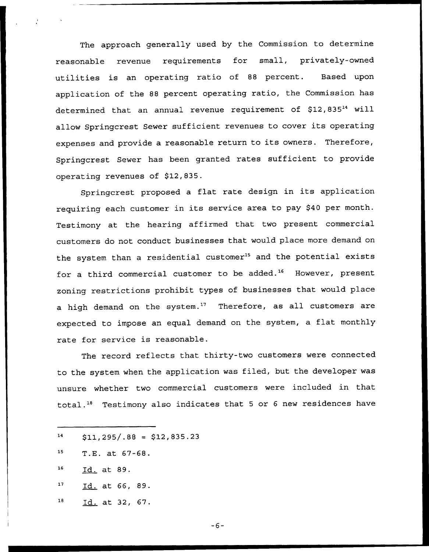The approach generally used by the Commission to determine reasonable revenue requirements for small, privately-owned utilities is an operating ratio of <sup>88</sup> percent. Based upon application of the <sup>88</sup> percent operating ratio, the Commission has determined that an annual revenue requirement of  $$12,835<sup>14</sup>$  will allow Springcrest Sewer sufficient revenues to cover its operating expenses and provide <sup>a</sup> reasonable return to its owners. Therefore, Springcrest Sewer has been granted rates sufficient to provide operating revenues of \$12,835.

Springcrest proposed <sup>a</sup> flat rate design in its application requiring each customer in its service area to pay \$<sup>40</sup> per month. Testimony at the hearing affirmed that two present commercial customers do not conduct businesses that would place more demand on the system than a residential customer<sup>15</sup> and the potential exists for a third commercial customer to be added.<sup>16</sup> However, present zoning restrictions prohibit types of businesses that would place a high demand on the system.<sup>17</sup> Therefore, as all customers are expected to impose an equal demand on the system, <sup>a</sup> flat monthly rate for service is reasonable.

The record reflects that thirty-two customers were connected to the system when the application was filed, but the developer was unsure whether two commercial customers were included in that total." Testimony also indicates that <sup>5</sup> or <sup>6</sup> new residences have

- 14  $$11,295/.88 = $12,835.23$
- 15 T.E. at 67-68.
- $16$ Id. at 89.
- $17$ Id. at 66, 89.
- ${\bf 18}$ Id. at 32, 67.

 $-6-$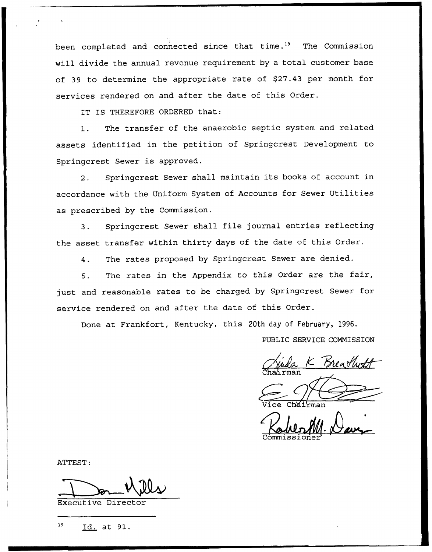been completed and connected since that time.<sup>19</sup> The Commission will divide the annual revenue requirement by a total customer base of 39 to determine the appropriate rate of \$27.43 per month for services rendered on and after the date of this Order.

IT IS THEREFORE ORDERED that:

1. The transfer of the anaerobic septic system and related assets identified in the petition of Springcrest Development to Springcrest Sewer is approved.

2. Springcrest Sewer shall maintain its books of account in accordance with the Uniform System of Accounts for Sewer Utilities as prescribed by the Commission.

3. Springcrest Sewer shall file journal entries reflecting the asset transfer within thirty days of the date of this Order.

4. The rates proposed by Springcrest Sewer are denied.

5. The rates in the Appendix to this Order are the fair, just and reasonable rates to be charged by Springcrest Sewer for service rendered on and after the date of this Order.

Done at Frankfort, Kentucky, this 20th day of February, 1996.

PUBLIC SERVICE COMMISSION

La K Breach

Vice Chairma

ATTEST:

Executive Director

19 Id. at 91.